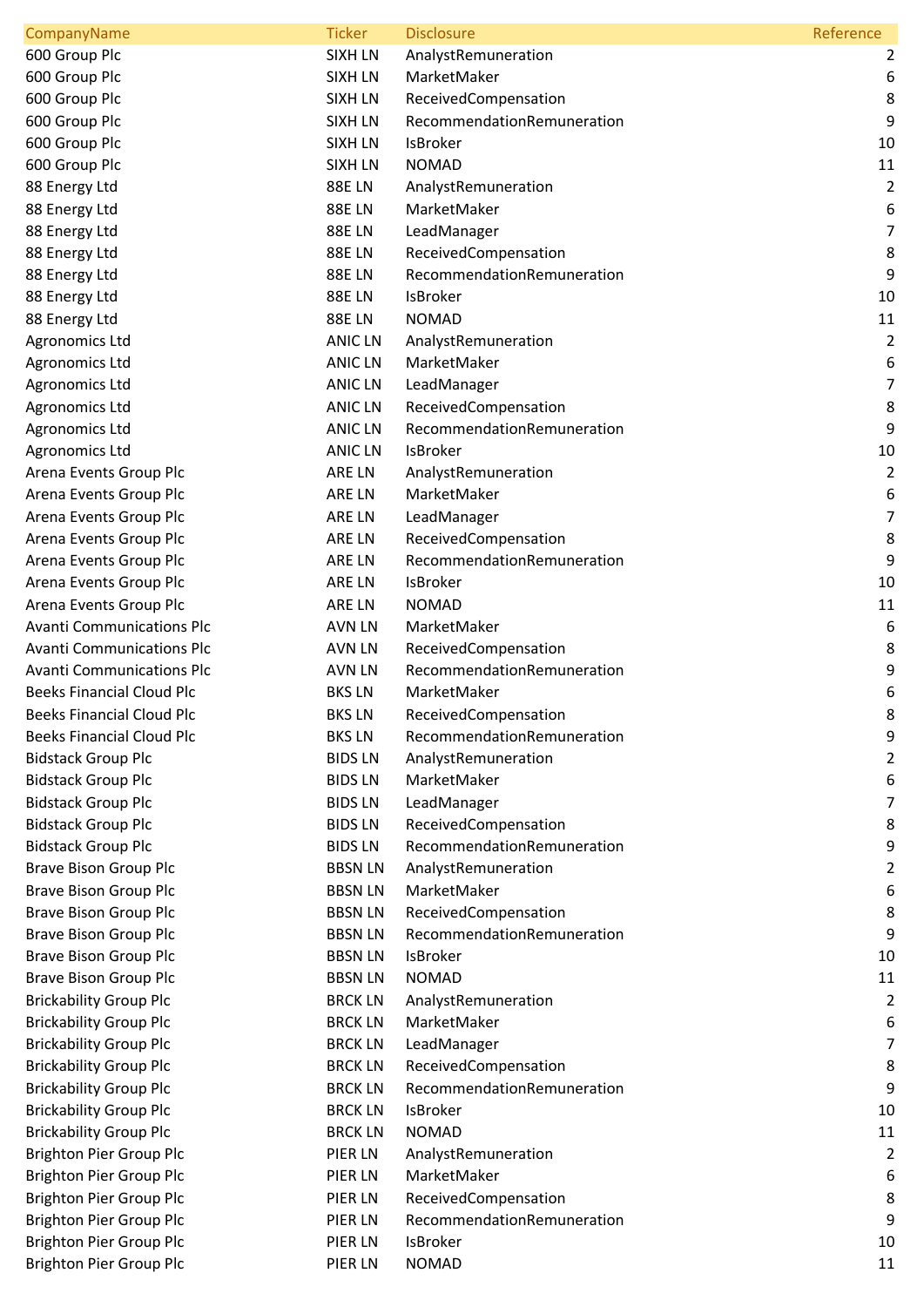| CompanyName                      | <b>Ticker</b>  | <b>Disclosure</b>          | Reference      |
|----------------------------------|----------------|----------------------------|----------------|
| 600 Group Plc                    | <b>SIXH LN</b> | AnalystRemuneration        | 2              |
| 600 Group Plc                    | <b>SIXH LN</b> | MarketMaker                | 6              |
| 600 Group Plc                    | <b>SIXH LN</b> | ReceivedCompensation       | 8              |
| 600 Group Plc                    | <b>SIXH LN</b> | RecommendationRemuneration | $9\,$          |
| 600 Group Plc                    | <b>SIXH LN</b> | <b>IsBroker</b>            | 10             |
| 600 Group Plc                    | <b>SIXH LN</b> | <b>NOMAD</b>               | 11             |
| 88 Energy Ltd                    | <b>88ELN</b>   | AnalystRemuneration        | $\overline{2}$ |
| 88 Energy Ltd                    | <b>88ELN</b>   | MarketMaker                | 6              |
| 88 Energy Ltd                    | <b>88ELN</b>   | LeadManager                | $\overline{7}$ |
| 88 Energy Ltd                    | <b>88ELN</b>   | ReceivedCompensation       | 8              |
| 88 Energy Ltd                    | <b>88ELN</b>   | RecommendationRemuneration | 9              |
| 88 Energy Ltd                    | <b>88ELN</b>   | <b>IsBroker</b>            | 10             |
| 88 Energy Ltd                    | <b>88ELN</b>   | <b>NOMAD</b>               | 11             |
| Agronomics Ltd                   | <b>ANIC LN</b> | AnalystRemuneration        | $\overline{2}$ |
| Agronomics Ltd                   | <b>ANIC LN</b> | MarketMaker                | 6              |
| <b>Agronomics Ltd</b>            | <b>ANIC LN</b> | LeadManager                | $\overline{7}$ |
| Agronomics Ltd                   | <b>ANIC LN</b> | ReceivedCompensation       | 8              |
| Agronomics Ltd                   | <b>ANIC LN</b> | RecommendationRemuneration | $9\,$          |
| <b>Agronomics Ltd</b>            | <b>ANIC LN</b> | <b>IsBroker</b>            | 10             |
| Arena Events Group Plc           | ARE LN         | AnalystRemuneration        | $\overline{2}$ |
| Arena Events Group Plc           | ARE LN         | MarketMaker                | 6              |
| Arena Events Group Plc           | ARE LN         | LeadManager                | $\overline{7}$ |
| Arena Events Group Plc           | ARE LN         | ReceivedCompensation       | 8              |
| Arena Events Group Plc           | ARE LN         | RecommendationRemuneration | 9              |
| Arena Events Group Plc           | ARE LN         | IsBroker                   | 10             |
| Arena Events Group Plc           | ARE LN         | <b>NOMAD</b>               | 11             |
| <b>Avanti Communications Plc</b> | <b>AVN LN</b>  | MarketMaker                | 6              |
| <b>Avanti Communications Plc</b> | <b>AVN LN</b>  | ReceivedCompensation       | 8              |
| <b>Avanti Communications Plc</b> | <b>AVN LN</b>  | RecommendationRemuneration | 9              |
| <b>Beeks Financial Cloud Plc</b> | <b>BKSLN</b>   | MarketMaker                | 6              |
| <b>Beeks Financial Cloud Plc</b> | <b>BKSLN</b>   | ReceivedCompensation       | 8              |
| <b>Beeks Financial Cloud Plc</b> | <b>BKSLN</b>   | RecommendationRemuneration | 9              |
| <b>Bidstack Group Plc</b>        | <b>BIDS LN</b> | AnalystRemuneration        | $\overline{2}$ |
| <b>Bidstack Group Plc</b>        | <b>BIDS LN</b> | MarketMaker                | 6              |
| <b>Bidstack Group Plc</b>        | <b>BIDSLN</b>  | LeadManager                | 7              |
| <b>Bidstack Group Plc</b>        | <b>BIDS LN</b> | ReceivedCompensation       | 8              |
| <b>Bidstack Group Plc</b>        | <b>BIDS LN</b> | RecommendationRemuneration | 9              |
| <b>Brave Bison Group Plc</b>     | <b>BBSN LN</b> | AnalystRemuneration        | $\overline{2}$ |
| <b>Brave Bison Group Plc</b>     | <b>BBSN LN</b> | MarketMaker                | 6              |
| Brave Bison Group Plc            | <b>BBSN LN</b> | ReceivedCompensation       | 8              |
| <b>Brave Bison Group Plc</b>     | <b>BBSN LN</b> | RecommendationRemuneration | 9              |
| <b>Brave Bison Group Plc</b>     | <b>BBSN LN</b> | IsBroker                   | 10             |
| <b>Brave Bison Group Plc</b>     | <b>BBSN LN</b> | <b>NOMAD</b>               | 11             |
| <b>Brickability Group Plc</b>    | <b>BRCK LN</b> | AnalystRemuneration        | $\overline{2}$ |
| <b>Brickability Group Plc</b>    | <b>BRCK LN</b> | MarketMaker                | 6              |
| <b>Brickability Group Plc</b>    | <b>BRCK LN</b> | LeadManager                | 7              |
| <b>Brickability Group Plc</b>    | <b>BRCK LN</b> | ReceivedCompensation       | 8              |
| <b>Brickability Group Plc</b>    | <b>BRCK LN</b> | RecommendationRemuneration | 9              |
| <b>Brickability Group Plc</b>    | <b>BRCK LN</b> | <b>IsBroker</b>            | 10             |
| <b>Brickability Group Plc</b>    | <b>BRCK LN</b> | <b>NOMAD</b>               | 11             |
| Brighton Pier Group Plc          | PIER LN        | AnalystRemuneration        | $\overline{2}$ |
| Brighton Pier Group Plc          | PIER LN        | MarketMaker                | 6              |
| Brighton Pier Group Plc          | PIER LN        | ReceivedCompensation       | 8              |
| Brighton Pier Group Plc          | PIER LN        | RecommendationRemuneration | $9\,$          |
| Brighton Pier Group Plc          | PIER LN        | <b>IsBroker</b>            | 10             |
| Brighton Pier Group Plc          | PIER LN        | <b>NOMAD</b>               | 11             |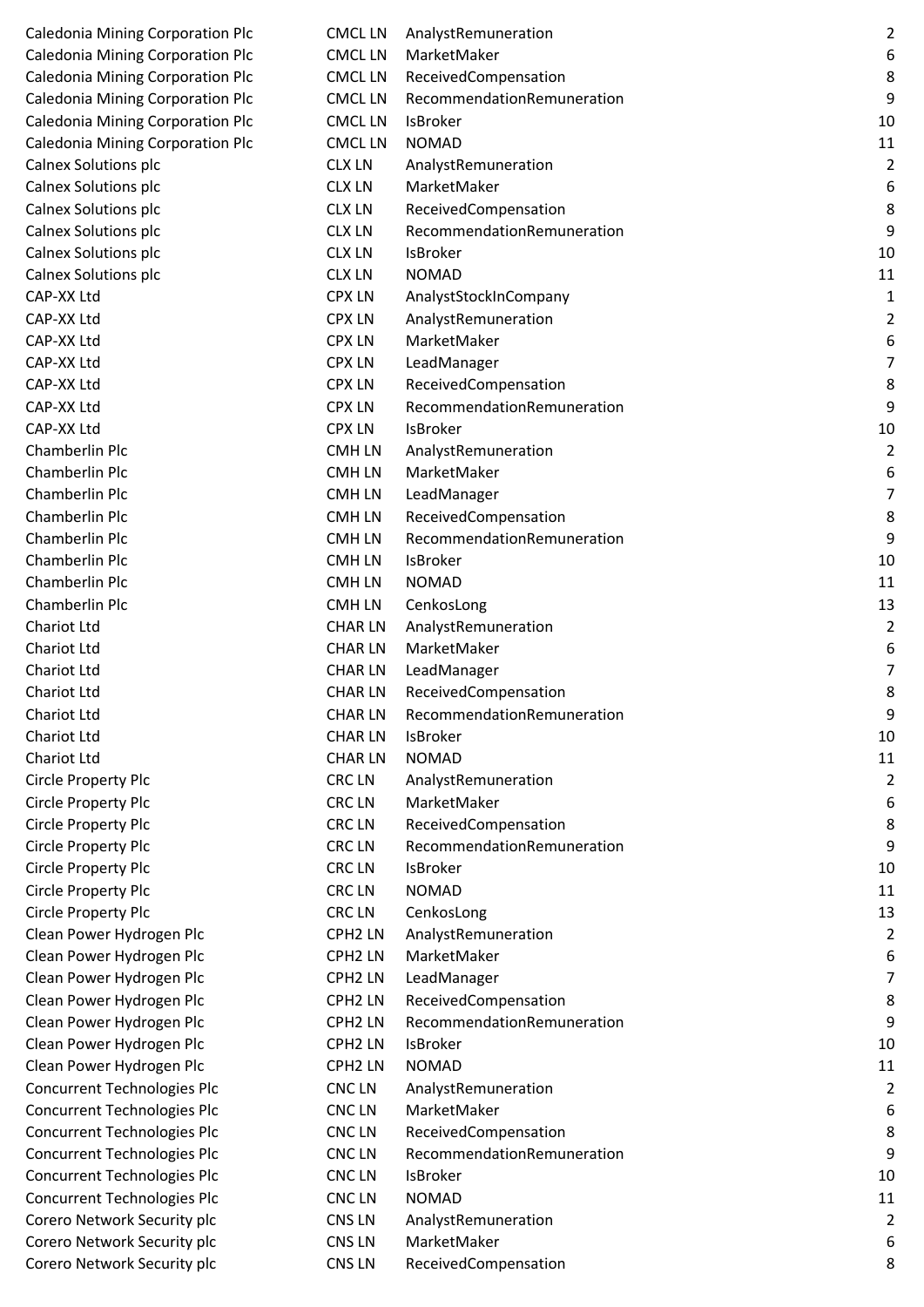| <b>Caledonia Mining Corporation Plc</b> | <b>CMCLLN</b>       | AnalystRemur                |
|-----------------------------------------|---------------------|-----------------------------|
| <b>Caledonia Mining Corporation Plc</b> | <b>CMCLLN</b>       | MarketMaker                 |
| <b>Caledonia Mining Corporation Plc</b> | <b>CMCLLN</b>       | ReceivedCom                 |
| <b>Caledonia Mining Corporation Plc</b> | <b>CMCLLN</b>       | Recommenda                  |
| <b>Caledonia Mining Corporation Plc</b> | <b>CMCL LN</b>      | <b>IsBroker</b>             |
| <b>Caledonia Mining Corporation Plc</b> | <b>CMCLLN</b>       | <b>NOMAD</b>                |
| <b>Calnex Solutions plc</b>             | <b>CLX LN</b>       | AnalystRemur                |
| Calnex Solutions plc                    | <b>CLX LN</b>       | MarketMaker                 |
| <b>Calnex Solutions plc</b>             | <b>CLX LN</b>       | ReceivedCom                 |
| Calnex Solutions plc                    | <b>CLX LN</b>       | Recommenda                  |
| Calnex Solutions plc                    | <b>CLX LN</b>       | <b>IsBroker</b>             |
| Calnex Solutions plc                    | <b>CLX LN</b>       | <b>NOMAD</b>                |
| CAP-XX Ltd                              | <b>CPX LN</b>       | AnalystStocklı              |
| CAP-XX Ltd                              | <b>CPX LN</b>       | AnalystRemur                |
| CAP-XX Ltd                              | <b>CPX LN</b>       | MarketMaker                 |
| CAP-XX Ltd                              | <b>CPX LN</b>       | LeadManager                 |
| CAP-XX Ltd                              | <b>CPX LN</b>       | ReceivedCom                 |
| CAP-XX Ltd                              | <b>CPX LN</b>       | Recommenda                  |
| CAP-XX Ltd                              | <b>CPX LN</b>       | <b>IsBroker</b>             |
| <b>Chamberlin Plc</b>                   | <b>CMHLN</b>        | AnalystRemur                |
| <b>Chamberlin Plc</b>                   | <b>CMHLN</b>        | MarketMaker                 |
| Chamberlin Plc                          | <b>CMHLN</b>        | LeadManager                 |
| <b>Chamberlin Plc</b>                   | <b>CMHLN</b>        | ReceivedCom                 |
| <b>Chamberlin Plc</b>                   | <b>CMHLN</b>        | Recommenda                  |
| Chamberlin Plc                          | <b>CMHLN</b>        | <b>IsBroker</b>             |
| Chamberlin Plc                          | <b>CMHLN</b>        | <b>NOMAD</b>                |
| <b>Chamberlin Plc</b>                   | <b>CMHLN</b>        | CenkosLong                  |
| Chariot Ltd                             | <b>CHARLN</b>       | AnalystRemur                |
| Chariot Ltd                             | <b>CHARLN</b>       | MarketMaker                 |
| Chariot Ltd                             | <b>CHARLN</b>       | LeadManager                 |
| <b>Chariot Ltd</b>                      | <b>CHARLN</b>       | ReceivedCom                 |
| Chariot Ltd                             | <b>CHARLN</b>       | Recommenda                  |
| Chariot Ltd                             | <b>CHARLN</b>       | <b>IsBroker</b>             |
| <b>Chariot Ltd</b>                      | <b>CHARLN</b>       | <b>NOMAD</b>                |
| Circle Property Plc                     | <b>CRCLN</b>        | AnalystRemur                |
| Circle Property Plc                     | <b>CRCLN</b>        | MarketMaker                 |
| Circle Property Plc                     | <b>CRCLN</b>        | ReceivedCom                 |
| Circle Property Plc                     | <b>CRCLN</b>        | Recommenda                  |
| Circle Property Plc                     | <b>CRCLN</b>        | <b>IsBroker</b>             |
| Circle Property Plc                     | <b>CRCLN</b>        | <b>NOMAD</b>                |
| Circle Property Plc                     | <b>CRCLN</b>        | CenkosLong                  |
| Clean Power Hydrogen Plc                | CPH <sub>2</sub> LN | AnalystRemur                |
| Clean Power Hydrogen Plc                | CPH <sub>2</sub> LN | MarketMaker                 |
| Clean Power Hydrogen Plc                | CPH <sub>2</sub> LN | LeadManager                 |
| Clean Power Hydrogen Plc                | CPH <sub>2</sub> LN | ReceivedCom                 |
| Clean Power Hydrogen Plc                | CPH <sub>2</sub> LN | Recommenda                  |
| Clean Power Hydrogen Plc                | CPH <sub>2</sub> LN | <b>IsBroker</b>             |
| Clean Power Hydrogen Plc                | CPH <sub>2</sub> LN | <b>NOMAD</b>                |
| Concurrent Technologies Plc             | <b>CNCLN</b>        | AnalystRemur<br>MarketMaker |
| Concurrent Technologies Plc             | <b>CNCLN</b>        |                             |
| Concurrent Technologies Plc             | <b>CNCLN</b>        | ReceivedCom                 |
| Concurrent Technologies Plc             | <b>CNCLN</b>        | Recommenda                  |
| Concurrent Technologies Plc             | <b>CNCLN</b>        | <b>IsBroker</b>             |
| Concurrent Technologies Plc             | <b>CNCLN</b>        | <b>NOMAD</b>                |
| Corero Network Security plc             | CNS <sub>LN</sub>   | AnalystRemur                |
| Corero Network Security plc             | CNS LN              | MarketMaker                 |
| Corero Network Security plc             | CNS LN              | ReceivedCom                 |

| <b>Caledonia Mining Corporation Plc</b> | <b>CMCLLN</b>       | AnalystRemuneration        | $\overline{2}$   |
|-----------------------------------------|---------------------|----------------------------|------------------|
| <b>Caledonia Mining Corporation Plc</b> | <b>CMCLLN</b>       | MarketMaker                | 6                |
| Caledonia Mining Corporation Plc        | <b>CMCLLN</b>       | ReceivedCompensation       | 8                |
| <b>Caledonia Mining Corporation Plc</b> | <b>CMCLLN</b>       | RecommendationRemuneration | 9                |
| <b>Caledonia Mining Corporation Plc</b> | <b>CMCLLN</b>       | <b>IsBroker</b>            | 10               |
| <b>Caledonia Mining Corporation Plc</b> | <b>CMCLLN</b>       | <b>NOMAD</b>               | 11               |
| Calnex Solutions plc                    | <b>CLX LN</b>       | AnalystRemuneration        | $\overline{2}$   |
| Calnex Solutions plc                    | <b>CLX LN</b>       | MarketMaker                | 6                |
| Calnex Solutions plc                    | <b>CLX LN</b>       | ReceivedCompensation       | $\,8\,$          |
| Calnex Solutions plc                    | <b>CLX LN</b>       | RecommendationRemuneration | 9                |
| Calnex Solutions plc                    | <b>CLX LN</b>       | <b>IsBroker</b>            | 10               |
| Calnex Solutions plc                    | <b>CLX LN</b>       | <b>NOMAD</b>               | 11               |
| CAP-XX Ltd                              | <b>CPX LN</b>       | AnalystStockInCompany      | 1                |
| CAP-XX Ltd                              | <b>CPX LN</b>       | AnalystRemuneration        | 2                |
| CAP-XX Ltd                              | <b>CPX LN</b>       | MarketMaker                | 6                |
| CAP-XX Ltd                              | <b>CPX LN</b>       | LeadManager                | 7                |
| CAP-XX Ltd                              | <b>CPX LN</b>       | ReceivedCompensation       | $\bf 8$          |
| CAP-XX Ltd                              | <b>CPX LN</b>       | RecommendationRemuneration | $\boldsymbol{9}$ |
| CAP-XX Ltd                              | <b>CPX LN</b>       | <b>IsBroker</b>            | 10               |
| Chamberlin Plc                          | <b>CMHLN</b>        | AnalystRemuneration        | $\overline{2}$   |
| Chamberlin Plc                          | <b>CMHLN</b>        | MarketMaker                | 6                |
| Chamberlin Plc                          | <b>CMHLN</b>        | LeadManager                | $\overline{7}$   |
| Chamberlin Plc                          | <b>CMHLN</b>        | ReceivedCompensation       | 8                |
| Chamberlin Plc                          | <b>CMHLN</b>        | RecommendationRemuneration | 9                |
| Chamberlin Plc                          | <b>CMHLN</b>        | IsBroker                   | 10               |
| Chamberlin Plc                          | <b>CMHLN</b>        | <b>NOMAD</b>               | 11               |
| Chamberlin Plc                          | <b>CMHLN</b>        | CenkosLong                 | 13               |
| Chariot Ltd                             | <b>CHARLN</b>       | AnalystRemuneration        | $\overline{2}$   |
| Chariot Ltd                             | <b>CHARLN</b>       | MarketMaker                | 6                |
| <b>Chariot Ltd</b>                      | <b>CHARLN</b>       | LeadManager                | 7                |
| Chariot Ltd                             | <b>CHARLN</b>       | ReceivedCompensation       | 8                |
| Chariot Ltd                             | <b>CHARLN</b>       | RecommendationRemuneration | 9                |
| <b>Chariot Ltd</b>                      | <b>CHARLN</b>       | <b>IsBroker</b>            | 10               |
| <b>Chariot Ltd</b>                      | <b>CHARLN</b>       | <b>NOMAD</b>               | 11               |
| Circle Property Plc                     | CRC LN              | AnalystRemuneration        | $\overline{2}$   |
| Circle Property Plc                     | <b>CRCLN</b>        | MarketMaker                | 6                |
| Circle Property Plc                     | <b>CRCLN</b>        | ReceivedCompensation       | $\bf 8$          |
| Circle Property Plc                     | CRC LN              | RecommendationRemuneration | 9                |
| Circle Property Plc                     | <b>CRCLN</b>        | <b>IsBroker</b>            | 10               |
| Circle Property Plc                     | CRC LN              | <b>NOMAD</b>               | 11               |
| Circle Property Plc                     | CRC LN              | CenkosLong                 | 13               |
| Clean Power Hydrogen Plc                | CPH <sub>2</sub> LN | AnalystRemuneration        | $\overline{2}$   |
| Clean Power Hydrogen Plc                | CPH <sub>2</sub> LN | MarketMaker                | 6                |
| Clean Power Hydrogen Plc                | CPH <sub>2</sub> LN | LeadManager                | $\overline{7}$   |
| Clean Power Hydrogen Plc                | CPH <sub>2</sub> LN | ReceivedCompensation       | 8                |
| Clean Power Hydrogen Plc                | CPH <sub>2</sub> LN | RecommendationRemuneration | 9                |
| Clean Power Hydrogen Plc                | CPH <sub>2</sub> LN | <b>IsBroker</b>            | 10               |
| Clean Power Hydrogen Plc                | CPH <sub>2</sub> LN | <b>NOMAD</b>               | 11               |
| Concurrent Technologies Plc             | CNC LN              | AnalystRemuneration        | $\overline{2}$   |
| Concurrent Technologies Plc             | <b>CNCLN</b>        | MarketMaker                | 6                |
| Concurrent Technologies Plc             | <b>CNCLN</b>        | ReceivedCompensation       | 8                |
| Concurrent Technologies Plc             | <b>CNCLN</b>        | RecommendationRemuneration | 9                |
| Concurrent Technologies Plc             | <b>CNCLN</b>        | IsBroker                   | 10               |
| Concurrent Technologies Plc             | <b>CNCLN</b>        | <b>NOMAD</b>               | 11               |
| Corero Network Security plc             | CNS LN              | AnalystRemuneration        | 2                |
| Corero Network Security plc             | CNS LN              | MarketMaker                | 6                |
| Corero Network Security plc             | CNS LN              | ReceivedCompensation       | 8                |
|                                         |                     |                            |                  |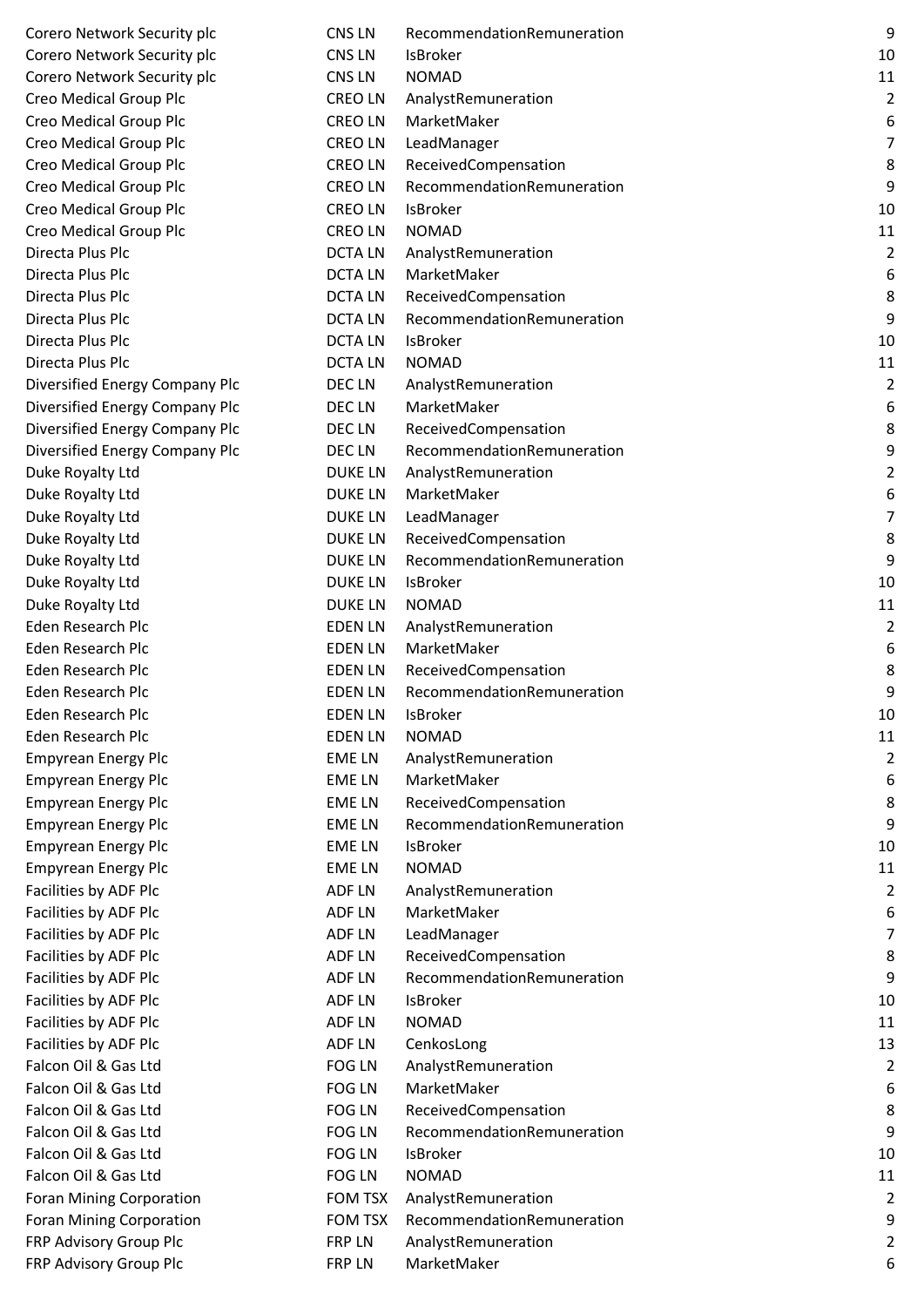| Corero Network Security plc     | <b>CNS LN</b>  | Recommenda      |
|---------------------------------|----------------|-----------------|
| Corero Network Security plc     | <b>CNS LN</b>  | <b>IsBroker</b> |
| Corero Network Security plc     | <b>CNS LN</b>  | <b>NOMAD</b>    |
| Creo Medical Group Plc          | <b>CREOLN</b>  | AnalystRemur    |
| Creo Medical Group Plc          | <b>CREOLN</b>  | MarketMaker     |
| Creo Medical Group Plc          | <b>CREOLN</b>  | LeadManager     |
| Creo Medical Group Plc          | <b>CREOLN</b>  | ReceivedCom     |
| Creo Medical Group Plc          | <b>CREOLN</b>  | Recommenda      |
| Creo Medical Group Plc          | <b>CREOLN</b>  | <b>IsBroker</b> |
| <b>Creo Medical Group Plc</b>   | <b>CREOLN</b>  | <b>NOMAD</b>    |
| Directa Plus Plc                | <b>DCTALN</b>  | AnalystRemur    |
| Directa Plus Plc                | <b>DCTALN</b>  | MarketMaker     |
| Directa Plus Plc                | <b>DCTALN</b>  | ReceivedCom     |
| Directa Plus Plc                | <b>DCTALN</b>  | Recommenda      |
| Directa Plus Plc                | <b>DCTALN</b>  | <b>IsBroker</b> |
| Directa Plus Plc                | <b>DCTALN</b>  | <b>NOMAD</b>    |
| Diversified Energy Company Plc  | DEC LN         | AnalystRemur    |
| Diversified Energy Company Plc  | DEC LN         | MarketMaker     |
| Diversified Energy Company Plc  | DEC LN         | ReceivedCom     |
| Diversified Energy Company Plc  | DEC LN         | Recommenda      |
| Duke Royalty Ltd                | <b>DUKE LN</b> | AnalystRemur    |
| Duke Royalty Ltd                | <b>DUKE LN</b> | MarketMaker     |
| Duke Royalty Ltd                | <b>DUKE LN</b> | LeadManager     |
| Duke Royalty Ltd                | <b>DUKE LN</b> | ReceivedCom     |
| Duke Royalty Ltd                | <b>DUKE LN</b> | Recommenda      |
| Duke Royalty Ltd                | <b>DUKE LN</b> | <b>IsBroker</b> |
| Duke Royalty Ltd                | <b>DUKE LN</b> | <b>NOMAD</b>    |
| Eden Research Plc               | <b>EDEN LN</b> | AnalystRemur    |
| <b>Eden Research Plc</b>        | <b>EDEN LN</b> | MarketMaker     |
| Eden Research Plc               | <b>EDEN LN</b> | ReceivedCom     |
| Eden Research Plc               | <b>EDEN LN</b> | Recommenda      |
| Eden Research Plc               | <b>EDEN LN</b> | <b>IsBroker</b> |
| <b>Eden Research Plc</b>        | <b>EDEN LN</b> | <b>NOMAD</b>    |
| <b>Empyrean Energy Plc</b>      | <b>EMELN</b>   | AnalystRemur    |
| <b>Empyrean Energy Plc</b>      | <b>EMELN</b>   | MarketMaker     |
| <b>Empyrean Energy Plc</b>      | <b>EMELN</b>   | ReceivedCom     |
| <b>Empyrean Energy Plc</b>      | <b>EMELN</b>   | Recommenda      |
| <b>Empyrean Energy Plc</b>      | <b>EMELN</b>   | <b>IsBroker</b> |
| <b>Empyrean Energy Plc</b>      | <b>EMELN</b>   | <b>NOMAD</b>    |
| Facilities by ADF Plc           | <b>ADF LN</b>  | AnalystRemur    |
| Facilities by ADF Plc           | <b>ADF LN</b>  | MarketMaker     |
| Facilities by ADF Plc           | <b>ADF LN</b>  | LeadManager     |
| Facilities by ADF Plc           | <b>ADF LN</b>  | ReceivedCom     |
| Facilities by ADF Plc           | <b>ADF LN</b>  | Recommenda      |
| Facilities by ADF Plc           | <b>ADF LN</b>  | <b>IsBroker</b> |
| Facilities by ADF Plc           | <b>ADF LN</b>  | <b>NOMAD</b>    |
| Facilities by ADF Plc           | <b>ADF LN</b>  | CenkosLong      |
| Falcon Oil & Gas Ltd            | <b>FOG LN</b>  | AnalystRemur    |
| Falcon Oil & Gas Ltd            | <b>FOG LN</b>  | MarketMaker     |
| Falcon Oil & Gas Ltd            | <b>FOG LN</b>  | ReceivedCom     |
| Falcon Oil & Gas Ltd            | <b>FOG LN</b>  | Recommenda      |
| Falcon Oil & Gas Ltd            | <b>FOG LN</b>  | <b>IsBroker</b> |
| Falcon Oil & Gas Ltd            | <b>FOG LN</b>  | <b>NOMAD</b>    |
| <b>Foran Mining Corporation</b> | <b>FOM TSX</b> | AnalystRemur    |
| <b>Foran Mining Corporation</b> | <b>FOM TSX</b> | Recommenda      |
| FRP Advisory Group Plc          | <b>FRP LN</b>  | AnalystRemur    |
| FRP Advisory Group Plc          | FRP LN         | MarketMaker     |

| Corero Network Security plc     | CNS LN         | RecommendationRemuneration | $9\,$            |
|---------------------------------|----------------|----------------------------|------------------|
| Corero Network Security plc     | CNS LN         | <b>IsBroker</b>            | 10               |
| Corero Network Security plc     | CNS LN         | <b>NOMAD</b>               | 11               |
| Creo Medical Group Plc          | <b>CREOLN</b>  | AnalystRemuneration        | $\overline{2}$   |
| Creo Medical Group Plc          | <b>CREOLN</b>  | MarketMaker                | 6                |
| Creo Medical Group Plc          | <b>CREOLN</b>  | LeadManager                | $\overline{7}$   |
| Creo Medical Group Plc          | <b>CREOLN</b>  | ReceivedCompensation       | $\,8\,$          |
| Creo Medical Group Plc          | <b>CREOLN</b>  | RecommendationRemuneration | 9                |
| Creo Medical Group Plc          | <b>CREOLN</b>  | <b>IsBroker</b>            | 10               |
| Creo Medical Group Plc          | <b>CREOLN</b>  | <b>NOMAD</b>               | 11               |
| Directa Plus Plc                | <b>DCTALN</b>  | AnalystRemuneration        | $\overline{2}$   |
| Directa Plus Plc                | <b>DCTALN</b>  | MarketMaker                | 6                |
| Directa Plus Plc                | <b>DCTALN</b>  | ReceivedCompensation       | 8                |
| Directa Plus Plc                | <b>DCTALN</b>  | RecommendationRemuneration | 9                |
| Directa Plus Plc                | <b>DCTALN</b>  | <b>IsBroker</b>            | 10               |
| Directa Plus Plc                | <b>DCTALN</b>  | <b>NOMAD</b>               | 11               |
| Diversified Energy Company Plc  | DEC LN         | AnalystRemuneration        | $\overline{2}$   |
| Diversified Energy Company Plc  | DEC LN         | MarketMaker                | $\boldsymbol{6}$ |
| Diversified Energy Company Plc  | DEC LN         | ReceivedCompensation       | $\,8\,$          |
| Diversified Energy Company Plc  | DEC LN         | RecommendationRemuneration | $\boldsymbol{9}$ |
| Duke Royalty Ltd                | <b>DUKE LN</b> | AnalystRemuneration        | $\overline{2}$   |
| Duke Royalty Ltd                | <b>DUKE LN</b> | MarketMaker                | 6                |
| Duke Royalty Ltd                | <b>DUKE LN</b> | LeadManager                | $\overline{7}$   |
| Duke Royalty Ltd                | <b>DUKE LN</b> | ReceivedCompensation       | 8                |
| Duke Royalty Ltd                | <b>DUKE LN</b> | RecommendationRemuneration | 9                |
| Duke Royalty Ltd                | <b>DUKE LN</b> | <b>IsBroker</b>            | 10               |
| Duke Royalty Ltd                | <b>DUKE LN</b> | <b>NOMAD</b>               | 11               |
| <b>Eden Research Plc</b>        | <b>EDEN LN</b> | AnalystRemuneration        | $\overline{2}$   |
| <b>Eden Research Plc</b>        | <b>EDEN LN</b> | MarketMaker                | 6                |
| <b>Eden Research Plc</b>        | <b>EDEN LN</b> | ReceivedCompensation       | 8                |
| Eden Research Plc               | <b>EDEN LN</b> | RecommendationRemuneration | q                |
| <b>Eden Research Plc</b>        | <b>EDEN LN</b> | <b>IsBroker</b>            | 10               |
| <b>Eden Research Plc</b>        | <b>EDEN LN</b> | <b>NOMAD</b>               | 11               |
| <b>Empyrean Energy Plc</b>      | <b>EMELN</b>   | AnalystRemuneration        | 2                |
| <b>Empyrean Energy Plc</b>      | <b>EMELN</b>   | MarketMaker                | 6                |
| <b>Empyrean Energy Plc</b>      | <b>EMELN</b>   | ReceivedCompensation       | 8                |
| <b>Empyrean Energy Plc</b>      | <b>EMELN</b>   | RecommendationRemuneration | 9                |
| <b>Empyrean Energy Plc</b>      | <b>EMELN</b>   | <b>IsBroker</b>            | 10               |
| <b>Empyrean Energy Plc</b>      | <b>EMELN</b>   | <b>NOMAD</b>               | 11               |
| Facilities by ADF Plc           | <b>ADFLN</b>   | AnalystRemuneration        | $\overline{2}$   |
| Facilities by ADF Plc           | ADF LN         | MarketMaker                | 6                |
| Facilities by ADF Plc           | <b>ADFLN</b>   | LeadManager                | $\overline{7}$   |
| Facilities by ADF Plc           | <b>ADFLN</b>   | ReceivedCompensation       | 8                |
| Facilities by ADF Plc           | ADF LN         | RecommendationRemuneration | 9                |
| Facilities by ADF Plc           | ADF LN         | <b>IsBroker</b>            | 10               |
| Facilities by ADF Plc           | <b>ADFLN</b>   | <b>NOMAD</b>               | 11               |
| Facilities by ADF Plc           | ADF LN         | CenkosLong                 | 13               |
| Falcon Oil & Gas Ltd            | <b>FOG LN</b>  | AnalystRemuneration        | $\overline{2}$   |
| Falcon Oil & Gas Ltd            | FOG LN         | MarketMaker                | 6                |
| Falcon Oil & Gas Ltd            | FOG LN         | ReceivedCompensation       | 8                |
| Falcon Oil & Gas Ltd            | FOG LN         | RecommendationRemuneration | 9                |
| Falcon Oil & Gas Ltd            | <b>FOG LN</b>  | IsBroker                   | 10               |
| Falcon Oil & Gas Ltd            | FOG LN         | <b>NOMAD</b>               | 11               |
| Foran Mining Corporation        | <b>FOM TSX</b> | AnalystRemuneration        | 2                |
| <b>Foran Mining Corporation</b> | <b>FOM TSX</b> | RecommendationRemuneration | 9                |
| FRP Advisory Group Plc          | FRP LN         | AnalystRemuneration        | $\overline{2}$   |
| FRP Advisory Group Plc          | FRP LN         | MarketMaker                | 6                |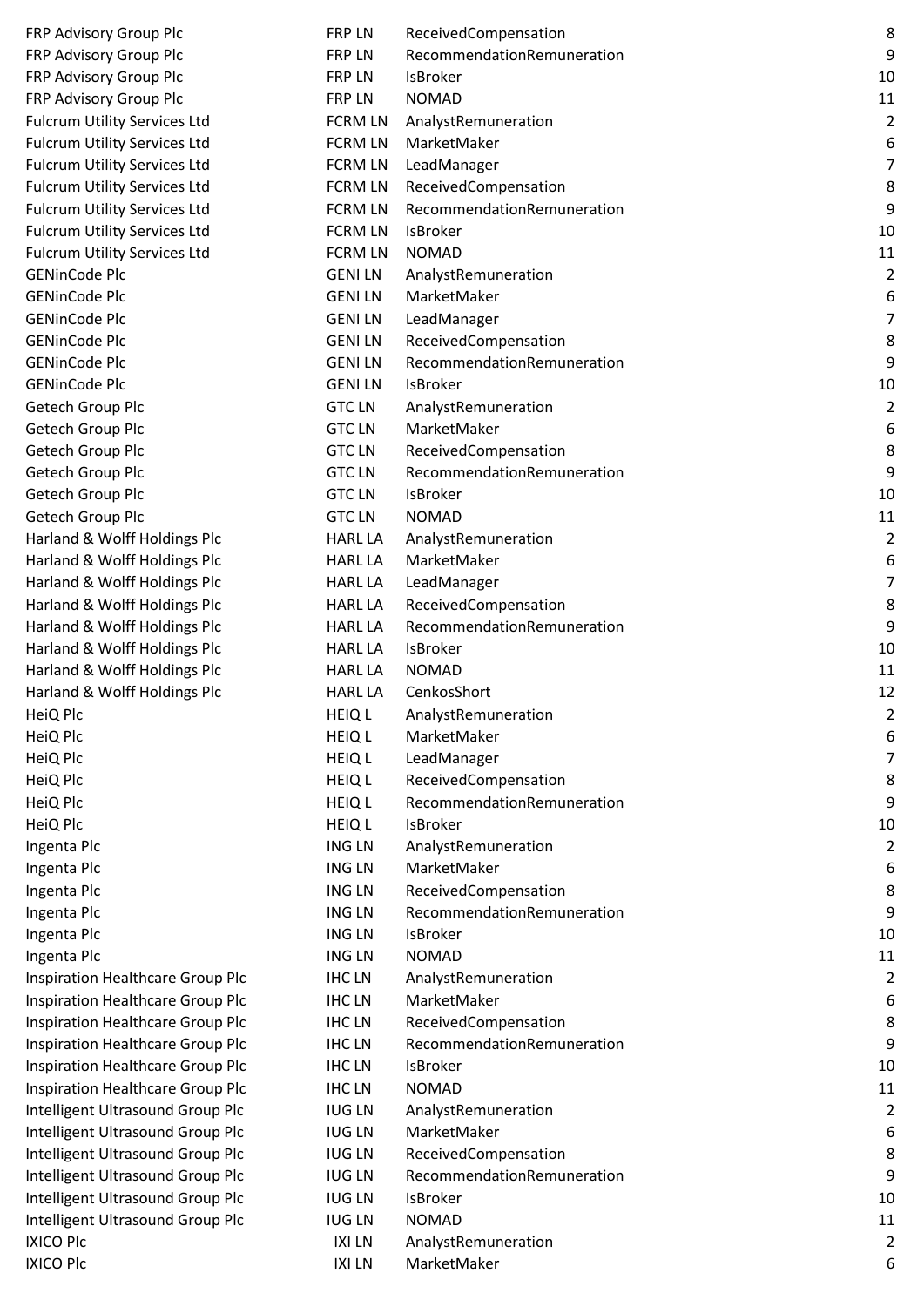| FRP Advisory Group Plc                  | <b>FRP LN</b>                  | ReceivedCompensatio                |
|-----------------------------------------|--------------------------------|------------------------------------|
| FRP Advisory Group Plc                  | <b>FRP LN</b>                  | RecommendationRen                  |
| FRP Advisory Group Plc                  | <b>FRP LN</b>                  | <b>IsBroker</b>                    |
| FRP Advisory Group Plc                  | <b>FRP LN</b>                  | <b>NOMAD</b>                       |
| <b>Fulcrum Utility Services Ltd</b>     | <b>FCRM LN</b>                 | AnalystRemuneration                |
| <b>Fulcrum Utility Services Ltd</b>     | <b>FCRM LN</b>                 | MarketMaker                        |
| <b>Fulcrum Utility Services Ltd</b>     | <b>FCRM LN</b>                 | LeadManager                        |
| <b>Fulcrum Utility Services Ltd</b>     | <b>FCRM LN</b>                 | ReceivedCompensatio                |
| <b>Fulcrum Utility Services Ltd</b>     | <b>FCRM LN</b>                 | RecommendationRen                  |
| <b>Fulcrum Utility Services Ltd</b>     | <b>FCRM LN</b>                 | <b>IsBroker</b>                    |
| <b>Fulcrum Utility Services Ltd</b>     | <b>FCRM LN</b>                 | <b>NOMAD</b>                       |
| <b>GENinCode Plc</b>                    | <b>GENILN</b>                  | AnalystRemuneration                |
| <b>GENinCode Plc</b>                    | <b>GENILN</b>                  | MarketMaker                        |
| <b>GENinCode Plc</b>                    | <b>GENILN</b>                  | LeadManager                        |
| <b>GENinCode Plc</b>                    | <b>GENILN</b>                  | ReceivedCompensatio                |
| <b>GENinCode Plc</b>                    | <b>GENILN</b>                  | RecommendationRen                  |
| <b>GENinCode Plc</b>                    | <b>GENILN</b>                  | <b>IsBroker</b>                    |
| Getech Group Plc                        | <b>GTC LN</b>                  | AnalystRemuneration                |
| Getech Group Plc                        | <b>GTC LN</b>                  | MarketMaker                        |
| Getech Group Plc                        | <b>GTC LN</b>                  | ReceivedCompensatio                |
| Getech Group Plc                        | <b>GTC LN</b>                  | RecommendationRen                  |
| Getech Group Plc                        | <b>GTC LN</b>                  | <b>IsBroker</b>                    |
| Getech Group Plc                        | <b>GTC LN</b>                  | <b>NOMAD</b>                       |
| Harland & Wolff Holdings Plc            | <b>HARL LA</b>                 | AnalystRemuneration                |
| Harland & Wolff Holdings Plc            | <b>HARL LA</b>                 | MarketMaker                        |
| Harland & Wolff Holdings Plc            | <b>HARL LA</b>                 | LeadManager                        |
| Harland & Wolff Holdings Plc            | <b>HARL LA</b>                 | ReceivedCompensatio                |
| Harland & Wolff Holdings Plc            | <b>HARL LA</b>                 | RecommendationRen                  |
| Harland & Wolff Holdings Plc            | <b>HARL LA</b>                 | <b>IsBroker</b>                    |
| Harland & Wolff Holdings Plc            | <b>HARL LA</b>                 | <b>NOMAD</b>                       |
| Harland & Wolff Holdings Plc            | <b>HARL LA</b>                 | CenkosShort                        |
| HeiQ Plc                                | <b>HEIQ L</b>                  | AnalystRemuneration                |
| HeiQ Plc                                | <b>HEIQ L</b>                  | MarketMaker                        |
| HeiQ Plc                                | <b>HEIQ L</b>                  | LeadManager                        |
| HeiQ Plc                                | <b>HEIQ L</b>                  | ReceivedCompensatio                |
| HeiQ Plc                                | <b>HEIQ L</b>                  | RecommendationRen                  |
| HeiQ Plc                                | <b>HEIQ L</b>                  | <b>IsBroker</b>                    |
|                                         |                                |                                    |
| Ingenta Plc                             | <b>ING LN</b><br><b>ING LN</b> | AnalystRemuneration<br>MarketMaker |
| Ingenta Plc                             |                                |                                    |
| Ingenta Plc                             | <b>ING LN</b>                  | ReceivedCompensatio                |
| Ingenta Plc                             | <b>ING LN</b>                  | RecommendationRen                  |
| Ingenta Plc                             | <b>ING LN</b>                  | <b>IsBroker</b>                    |
| Ingenta Plc                             | <b>ING LN</b>                  | <b>NOMAD</b>                       |
| Inspiration Healthcare Group Plc        | <b>IHCLN</b>                   | AnalystRemuneration                |
| Inspiration Healthcare Group Plc        | <b>IHCLN</b>                   | MarketMaker                        |
| Inspiration Healthcare Group Plc        | <b>IHCLN</b>                   | ReceivedCompensatio                |
| Inspiration Healthcare Group Plc        | <b>IHCLN</b>                   | RecommendationRen                  |
| <b>Inspiration Healthcare Group Plc</b> | <b>IHCLN</b>                   | <b>IsBroker</b>                    |
| Inspiration Healthcare Group Plc        | <b>IHCLN</b>                   | <b>NOMAD</b>                       |
| Intelligent Ultrasound Group Plc        | <b>IUG LN</b>                  | AnalystRemuneration                |
| Intelligent Ultrasound Group Plc        | <b>IUG LN</b>                  | MarketMaker                        |
| Intelligent Ultrasound Group Plc        | <b>IUG LN</b>                  | ReceivedCompensatio                |
| Intelligent Ultrasound Group Plc        | <b>IUG LN</b>                  | RecommendationRen                  |
| Intelligent Ultrasound Group Plc        | <b>IUG LN</b>                  | <b>IsBroker</b>                    |
| Intelligent Ultrasound Group Plc        | <b>IUG LN</b>                  | <b>NOMAD</b>                       |
| <b>IXICO Plc</b>                        | <b>IXILN</b>                   | AnalystRemuneration                |
| <b>IXICO Plc</b>                        | <b>IXILN</b>                   | MarketMaker                        |

| FRP Advisory Group Plc                  | <b>FRP LN</b>  | ReceivedCompensation       | 8                |
|-----------------------------------------|----------------|----------------------------|------------------|
| FRP Advisory Group Plc                  | FRP LN         | RecommendationRemuneration | 9                |
| FRP Advisory Group Plc                  | FRP LN         | IsBroker                   | 10               |
| FRP Advisory Group Plc                  | <b>FRP LN</b>  | <b>NOMAD</b>               | 11               |
| <b>Fulcrum Utility Services Ltd</b>     | <b>FCRM LN</b> | AnalystRemuneration        | $\overline{2}$   |
| <b>Fulcrum Utility Services Ltd</b>     | <b>FCRM LN</b> | MarketMaker                | 6                |
| <b>Fulcrum Utility Services Ltd</b>     | <b>FCRM LN</b> | LeadManager                | $\overline{7}$   |
| Fulcrum Utility Services Ltd            | <b>FCRM LN</b> | ReceivedCompensation       | 8                |
| <b>Fulcrum Utility Services Ltd</b>     | <b>FCRM LN</b> | RecommendationRemuneration | 9                |
| <b>Fulcrum Utility Services Ltd</b>     | <b>FCRM LN</b> | <b>IsBroker</b>            | 10               |
| <b>Fulcrum Utility Services Ltd</b>     | <b>FCRM LN</b> | <b>NOMAD</b>               | 11               |
| <b>GENinCode Plc</b>                    | <b>GENILN</b>  | AnalystRemuneration        | $\overline{2}$   |
| <b>GENinCode Plc</b>                    | <b>GENILN</b>  | MarketMaker                | 6                |
| <b>GENinCode Plc</b>                    | <b>GENILN</b>  | LeadManager                | $\overline{7}$   |
| <b>GENinCode Plc</b>                    | <b>GENILN</b>  | ReceivedCompensation       | 8                |
| <b>GENinCode Plc</b>                    | <b>GENILN</b>  | RecommendationRemuneration | 9                |
| <b>GENinCode Plc</b>                    | <b>GENILN</b>  | <b>IsBroker</b>            | 10               |
| Getech Group Plc                        | <b>GTC LN</b>  | AnalystRemuneration        | $\overline{2}$   |
| Getech Group Plc                        | <b>GTC LN</b>  | MarketMaker                | 6                |
| Getech Group Plc                        | <b>GTC LN</b>  | ReceivedCompensation       | 8                |
| Getech Group Plc                        | <b>GTC LN</b>  | RecommendationRemuneration | 9                |
| Getech Group Plc                        | <b>GTC LN</b>  | IsBroker                   | 10               |
| Getech Group Plc                        | <b>GTC LN</b>  | <b>NOMAD</b>               | 11               |
| Harland & Wolff Holdings Plc            | <b>HARL LA</b> | AnalystRemuneration        | $\overline{2}$   |
| Harland & Wolff Holdings Plc            | <b>HARL LA</b> | MarketMaker                | 6                |
| Harland & Wolff Holdings Plc            | <b>HARL LA</b> | LeadManager                | $\overline{7}$   |
| Harland & Wolff Holdings Plc            | <b>HARL LA</b> | ReceivedCompensation       | 8                |
| Harland & Wolff Holdings Plc            | <b>HARL LA</b> | RecommendationRemuneration | 9                |
| Harland & Wolff Holdings Plc            | <b>HARL LA</b> | IsBroker                   | 10               |
| Harland & Wolff Holdings Plc            | <b>HARL LA</b> | <b>NOMAD</b>               | 11               |
| Harland & Wolff Holdings Plc            | <b>HARL LA</b> | CenkosShort                | 12               |
| HeiQ Plc                                | <b>HEIQ L</b>  | AnalystRemuneration        | 2                |
| HeiQ Plc                                | <b>HEIQ L</b>  | MarketMaker                | 6                |
| HeiQ Plc                                | <b>HEIQ L</b>  | LeadManager                | 7                |
| HeiQ Plc                                | <b>HEIQ L</b>  | ReceivedCompensation       | 8                |
| HeiQ Plc                                | <b>HEIQ L</b>  | RecommendationRemuneration | 9                |
| HeiQ Plc                                | <b>HEIQ L</b>  | <b>IsBroker</b>            | 10               |
| Ingenta Plc                             | <b>ING LN</b>  | AnalystRemuneration        | $\overline{2}$   |
| Ingenta Plc                             | <b>ING LN</b>  | MarketMaker                | 6                |
| Ingenta Plc                             | <b>ING LN</b>  | ReceivedCompensation       | 8                |
| Ingenta Plc                             | <b>ING LN</b>  | RecommendationRemuneration | 9                |
| Ingenta Plc                             | <b>ING LN</b>  | IsBroker                   | 10               |
| Ingenta Plc                             | <b>ING LN</b>  | <b>NOMAD</b>               | 11               |
| <b>Inspiration Healthcare Group Plc</b> | <b>IHCLN</b>   | AnalystRemuneration        | $\overline{2}$   |
| <b>Inspiration Healthcare Group Plc</b> | <b>IHCLN</b>   | MarketMaker                | 6                |
| <b>Inspiration Healthcare Group Plc</b> | <b>IHCLN</b>   | ReceivedCompensation       | 8                |
| <b>Inspiration Healthcare Group Plc</b> | <b>IHCLN</b>   | RecommendationRemuneration | 9                |
| <b>Inspiration Healthcare Group Plc</b> | <b>IHCLN</b>   | IsBroker                   | 10               |
| <b>Inspiration Healthcare Group Plc</b> | <b>IHCLN</b>   | <b>NOMAD</b>               | 11               |
| Intelligent Ultrasound Group Plc        | <b>IUG LN</b>  | AnalystRemuneration        | $\overline{2}$   |
| <b>Intelligent Ultrasound Group Plc</b> | <b>IUG LN</b>  | MarketMaker                | 6                |
| Intelligent Ultrasound Group Plc        | <b>IUG LN</b>  | ReceivedCompensation       | 8                |
| Intelligent Ultrasound Group Plc        | <b>IUG LN</b>  | RecommendationRemuneration | $\boldsymbol{9}$ |
| Intelligent Ultrasound Group Plc        | <b>IUG LN</b>  | IsBroker                   | 10               |
| Intelligent Ultrasound Group Plc        | <b>IUG LN</b>  | <b>NOMAD</b>               | 11               |
| <b>IXICO Plc</b>                        | <b>IXILN</b>   | AnalystRemuneration        | 2                |
| <b>IXICO Plc</b>                        | <b>IXILN</b>   | MarketMaker                | 6                |
|                                         |                |                            |                  |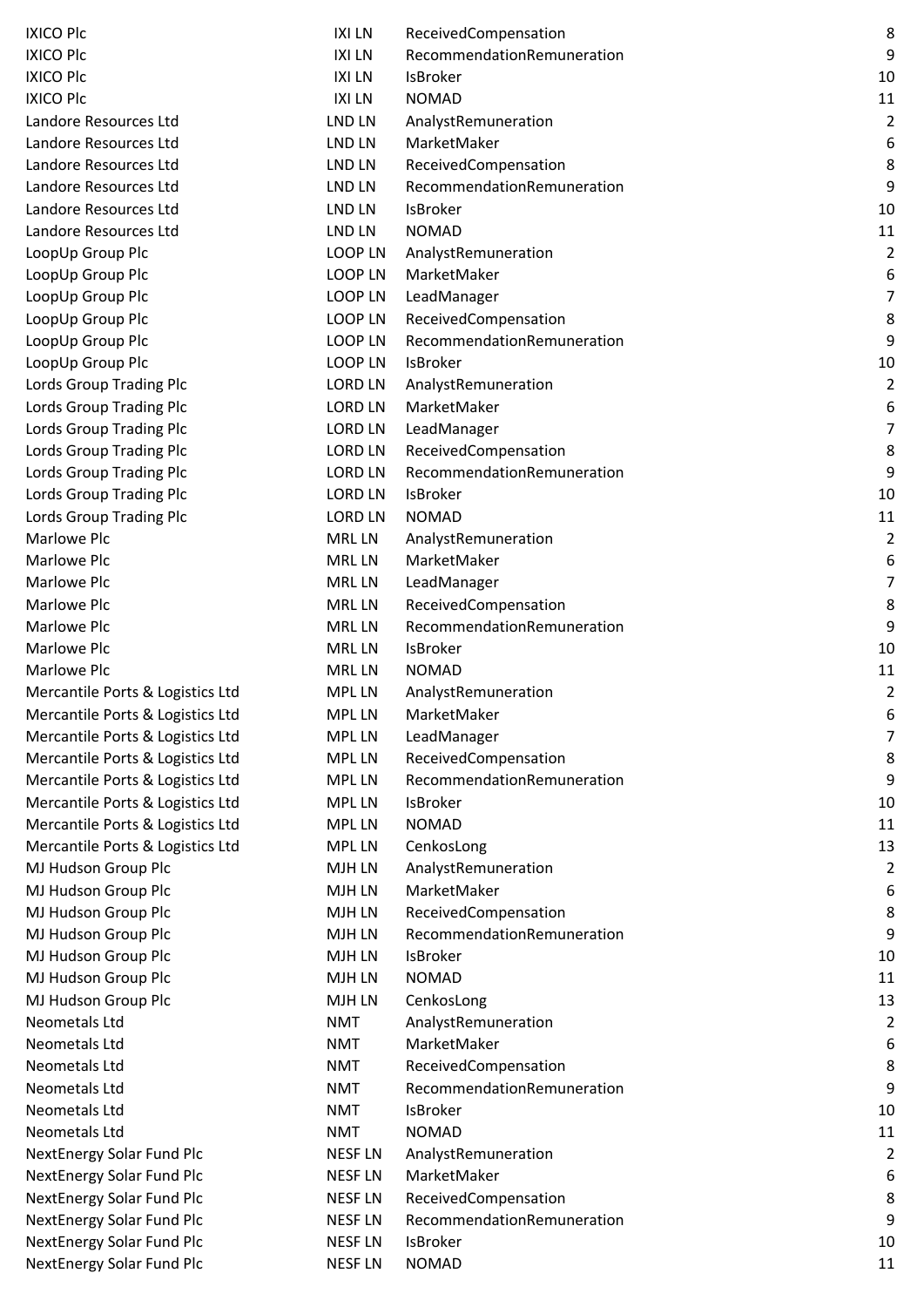| <b>IXICO Plc</b>                 | <b>IXILN</b>   | ReceivedCompensation       | 8                |
|----------------------------------|----------------|----------------------------|------------------|
| <b>IXICO Plc</b>                 | <b>IXILN</b>   | RecommendationRemuneration | 9                |
| <b>IXICO Plc</b>                 | <b>IXILN</b>   | IsBroker                   | 10               |
| <b>IXICO Plc</b>                 | <b>IXILN</b>   | <b>NOMAD</b>               | 11               |
| Landore Resources Ltd            | LND LN         | AnalystRemuneration        | $\overline{2}$   |
| Landore Resources Ltd            | LND LN         | MarketMaker                | 6                |
| Landore Resources Ltd            | LND LN         | ReceivedCompensation       | 8                |
| Landore Resources Ltd            | LND LN         | RecommendationRemuneration | 9                |
| Landore Resources Ltd            | LND LN         | <b>IsBroker</b>            | 10               |
| Landore Resources Ltd            | LND LN         | <b>NOMAD</b>               | 11               |
| LoopUp Group Plc                 | <b>LOOP LN</b> | AnalystRemuneration        | $\overline{2}$   |
| LoopUp Group Plc                 | <b>LOOP LN</b> | MarketMaker                | 6                |
| LoopUp Group Plc                 | <b>LOOP LN</b> | LeadManager                | $\overline{7}$   |
| LoopUp Group Plc                 | LOOP LN        | ReceivedCompensation       | 8                |
| LoopUp Group Plc                 | <b>LOOP LN</b> | RecommendationRemuneration | 9                |
| LoopUp Group Plc                 | LOOP LN        | IsBroker                   | 10               |
| Lords Group Trading Plc          | <b>LORD LN</b> | AnalystRemuneration        | $\overline{2}$   |
| Lords Group Trading Plc          | <b>LORD LN</b> | MarketMaker                | 6                |
| Lords Group Trading Plc          | <b>LORD LN</b> | LeadManager                | $\overline{7}$   |
| <b>Lords Group Trading Plc</b>   | <b>LORD LN</b> | ReceivedCompensation       | 8                |
| <b>Lords Group Trading Plc</b>   | <b>LORD LN</b> | RecommendationRemuneration | 9                |
| <b>Lords Group Trading Plc</b>   | <b>LORD LN</b> | IsBroker                   | 10               |
| <b>Lords Group Trading Plc</b>   | <b>LORD LN</b> | <b>NOMAD</b>               | 11               |
| Marlowe Plc                      | <b>MRLLN</b>   | AnalystRemuneration        | 2                |
| <b>Marlowe Plc</b>               | <b>MRLLN</b>   | MarketMaker                | 6                |
| <b>Marlowe Plc</b>               | <b>MRLLN</b>   | LeadManager                | $\overline{7}$   |
| <b>Marlowe Plc</b>               | <b>MRLLN</b>   | ReceivedCompensation       | 8                |
| <b>Marlowe Plc</b>               | <b>MRLLN</b>   | RecommendationRemuneration | 9                |
| Marlowe Plc                      | <b>MRLLN</b>   | IsBroker                   | 10               |
| <b>Marlowe Plc</b>               | <b>MRLLN</b>   | <b>NOMAD</b>               | 11               |
| Mercantile Ports & Logistics Ltd | <b>MPL LN</b>  | AnalystRemuneration        | $\overline{2}$   |
| Mercantile Ports & Logistics Ltd | <b>MPL LN</b>  | MarketMaker                | 6                |
| Mercantile Ports & Logistics Ltd | <b>MPL LN</b>  | LeadManager                | $\overline{7}$   |
| Mercantile Ports & Logistics Ltd | <b>MPL LN</b>  | ReceivedCompensation       | 8                |
| Mercantile Ports & Logistics Ltd | <b>MPL LN</b>  | RecommendationRemuneration | 9                |
| Mercantile Ports & Logistics Ltd | <b>MPL LN</b>  | IsBroker                   | 10               |
| Mercantile Ports & Logistics Ltd | <b>MPL LN</b>  | <b>NOMAD</b>               | 11               |
| Mercantile Ports & Logistics Ltd | <b>MPL LN</b>  | CenkosLong                 | 13               |
| MJ Hudson Group Plc              | MJH LN         | AnalystRemuneration        | $\overline{2}$   |
| MJ Hudson Group Plc              | MJH LN         | MarketMaker                | 6                |
| MJ Hudson Group Plc              | MJH LN         | ReceivedCompensation       | 8                |
| MJ Hudson Group Plc              | <b>MJH LN</b>  | RecommendationRemuneration | 9                |
| MJ Hudson Group Plc              | MJH LN         | IsBroker                   | 10               |
| MJ Hudson Group Plc              | <b>MJH LN</b>  | <b>NOMAD</b>               | 11               |
| MJ Hudson Group Plc              | MJH LN         | CenkosLong                 | 13               |
| Neometals Ltd                    | <b>NMT</b>     | AnalystRemuneration        | $\overline{2}$   |
| Neometals Ltd                    | <b>NMT</b>     | MarketMaker                | $\boldsymbol{6}$ |
| Neometals Ltd                    | <b>NMT</b>     | ReceivedCompensation       | 8                |
| Neometals Ltd                    | <b>NMT</b>     | RecommendationRemuneration | 9                |
| Neometals Ltd                    | <b>NMT</b>     | IsBroker                   | 10               |
| Neometals Ltd                    | <b>NMT</b>     | <b>NOMAD</b>               | 11               |
| NextEnergy Solar Fund Plc        | <b>NESF LN</b> | AnalystRemuneration        | $\overline{2}$   |
| NextEnergy Solar Fund Plc        | <b>NESF LN</b> | MarketMaker                | 6                |
| NextEnergy Solar Fund Plc        | <b>NESF LN</b> | ReceivedCompensation       | 8                |
| NextEnergy Solar Fund Plc        | <b>NESF LN</b> | RecommendationRemuneration | 9                |
| <b>NextEnergy Solar Fund Plc</b> | <b>NESF LN</b> | IsBroker                   | 10               |
| NextEnergy Solar Fund Plc        | <b>NESF LN</b> | <b>NOMAD</b>               | 11               |
|                                  |                |                            |                  |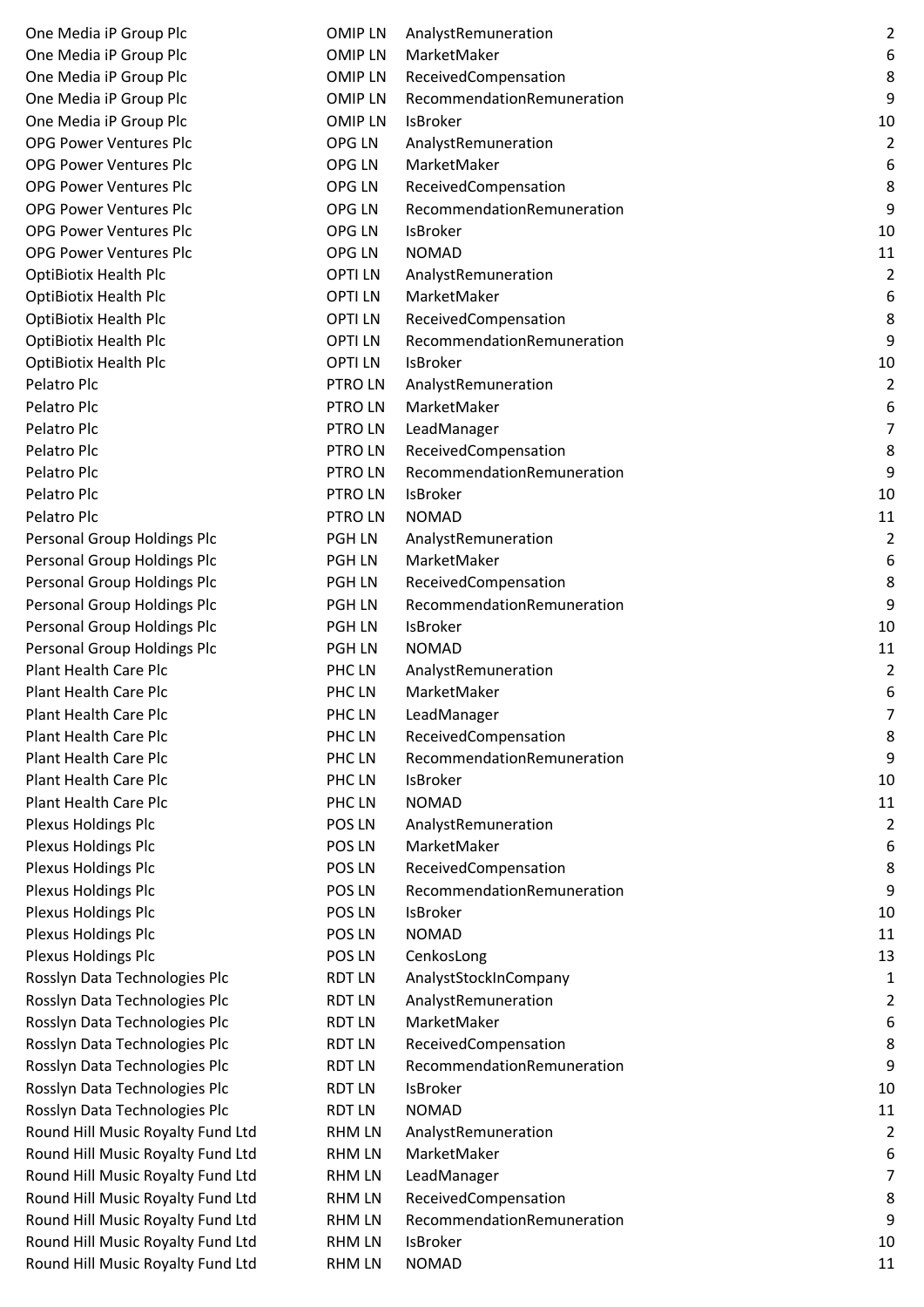| One Media iP Group Plc            | <b>OMIPLN</b> | AnalystRemuneration        | $\overline{2}$ |
|-----------------------------------|---------------|----------------------------|----------------|
| One Media iP Group Plc            | <b>OMIPLN</b> | MarketMaker                | 6              |
| One Media iP Group Plc            | <b>OMIPLN</b> | ReceivedCompensation       | $\,8\,$        |
| One Media iP Group Plc            | <b>OMIPLN</b> | RecommendationRemuneration | 9              |
| One Media iP Group Plc            | <b>OMIPLN</b> | <b>IsBroker</b>            | 10             |
| <b>OPG Power Ventures Plc</b>     | OPG LN        | AnalystRemuneration        | $\overline{2}$ |
| <b>OPG Power Ventures Plc</b>     | OPG LN        | MarketMaker                | 6              |
| <b>OPG Power Ventures Plc</b>     | OPG LN        | ReceivedCompensation       | 8              |
| <b>OPG Power Ventures Plc</b>     | OPG LN        | RecommendationRemuneration | 9              |
| <b>OPG Power Ventures Plc</b>     | OPG LN        | <b>IsBroker</b>            | 10             |
| <b>OPG Power Ventures Plc</b>     | OPG LN        | <b>NOMAD</b>               | 11             |
| <b>OptiBiotix Health Plc</b>      | <b>OPTILN</b> | AnalystRemuneration        | $\overline{2}$ |
| <b>OptiBiotix Health Plc</b>      | <b>OPTILN</b> | MarketMaker                | 6              |
| <b>OptiBiotix Health Plc</b>      | <b>OPTILN</b> | ReceivedCompensation       | 8              |
| <b>OptiBiotix Health Plc</b>      | <b>OPTILN</b> | RecommendationRemuneration | 9              |
| <b>OptiBiotix Health Plc</b>      | <b>OPTILN</b> | IsBroker                   | 10             |
| Pelatro Plc                       | PTRO LN       | AnalystRemuneration        | $\overline{2}$ |
| Pelatro Plc                       | PTRO LN       | MarketMaker                | 6              |
| Pelatro Plc                       | PTRO LN       | LeadManager                | $\overline{7}$ |
| Pelatro Plc                       | PTRO LN       | ReceivedCompensation       | 8              |
| Pelatro Plc                       | PTRO LN       | RecommendationRemuneration | 9              |
| Pelatro Plc                       | <b>PTROLN</b> | <b>IsBroker</b>            | 10             |
| Pelatro Plc                       | PTRO LN       | <b>NOMAD</b>               | 11             |
| Personal Group Holdings Plc       | <b>PGH LN</b> | AnalystRemuneration        | $\overline{2}$ |
| Personal Group Holdings Plc       | <b>PGH LN</b> | MarketMaker                | 6              |
|                                   | <b>PGH LN</b> |                            | 8              |
| Personal Group Holdings Plc       |               | ReceivedCompensation       | 9              |
| Personal Group Holdings Plc       | <b>PGH LN</b> | RecommendationRemuneration |                |
| Personal Group Holdings Plc       | <b>PGH LN</b> | IsBroker                   | 10             |
| Personal Group Holdings Plc       | <b>PGH LN</b> | <b>NOMAD</b>               | 11             |
| <b>Plant Health Care Plc</b>      | PHC LN        | AnalystRemuneration        | $\overline{2}$ |
| <b>Plant Health Care Plc</b>      | PHC LN        | MarketMaker                | 6              |
| <b>Plant Health Care Plc</b>      | PHC LN        | LeadManager                | 7              |
| <b>Plant Health Care Plc</b>      | PHC LN        | ReceivedCompensation       | 8              |
| <b>Plant Health Care Plc</b>      | PHC LN        | RecommendationRemuneration | 9              |
| <b>Plant Health Care Plc</b>      | PHC LN        | IsBroker                   | 10             |
| <b>Plant Health Care Plc</b>      | PHC LN        | <b>NOMAD</b>               | 11             |
| Plexus Holdings Plc               | POS LN        | AnalystRemuneration        | $\overline{2}$ |
| Plexus Holdings Plc               | POS LN        | MarketMaker                | 6              |
| Plexus Holdings Plc               | POS LN        | ReceivedCompensation       | 8              |
| Plexus Holdings Plc               | POS LN        | RecommendationRemuneration | 9              |
| Plexus Holdings Plc               | POS LN        | IsBroker                   | 10             |
| Plexus Holdings Plc               | POS LN        | <b>NOMAD</b>               | 11             |
| Plexus Holdings Plc               | POS LN        | CenkosLong                 | 13             |
| Rosslyn Data Technologies Plc     | <b>RDT LN</b> | AnalystStockInCompany      | 1              |
| Rosslyn Data Technologies Plc     | <b>RDT LN</b> | AnalystRemuneration        | $\overline{2}$ |
| Rosslyn Data Technologies Plc     | <b>RDT LN</b> | MarketMaker                | 6              |
| Rosslyn Data Technologies Plc     | <b>RDT LN</b> | ReceivedCompensation       | 8              |
| Rosslyn Data Technologies Plc     | <b>RDT LN</b> | RecommendationRemuneration | 9              |
| Rosslyn Data Technologies Plc     | <b>RDT LN</b> | IsBroker                   | 10             |
| Rosslyn Data Technologies Plc     | <b>RDT LN</b> | <b>NOMAD</b>               | 11             |
| Round Hill Music Royalty Fund Ltd | <b>RHM LN</b> | AnalystRemuneration        | $\overline{2}$ |
| Round Hill Music Royalty Fund Ltd | <b>RHM LN</b> | MarketMaker                | 6              |
| Round Hill Music Royalty Fund Ltd | <b>RHM LN</b> | LeadManager                | $\overline{7}$ |
| Round Hill Music Royalty Fund Ltd | <b>RHM LN</b> | ReceivedCompensation       | 8              |
| Round Hill Music Royalty Fund Ltd | <b>RHM LN</b> | RecommendationRemuneration | 9              |
| Round Hill Music Royalty Fund Ltd | <b>RHM LN</b> | IsBroker                   | 10             |
| Round Hill Music Royalty Fund Ltd | <b>RHM LN</b> | <b>NOMAD</b>               | 11             |
|                                   |               |                            |                |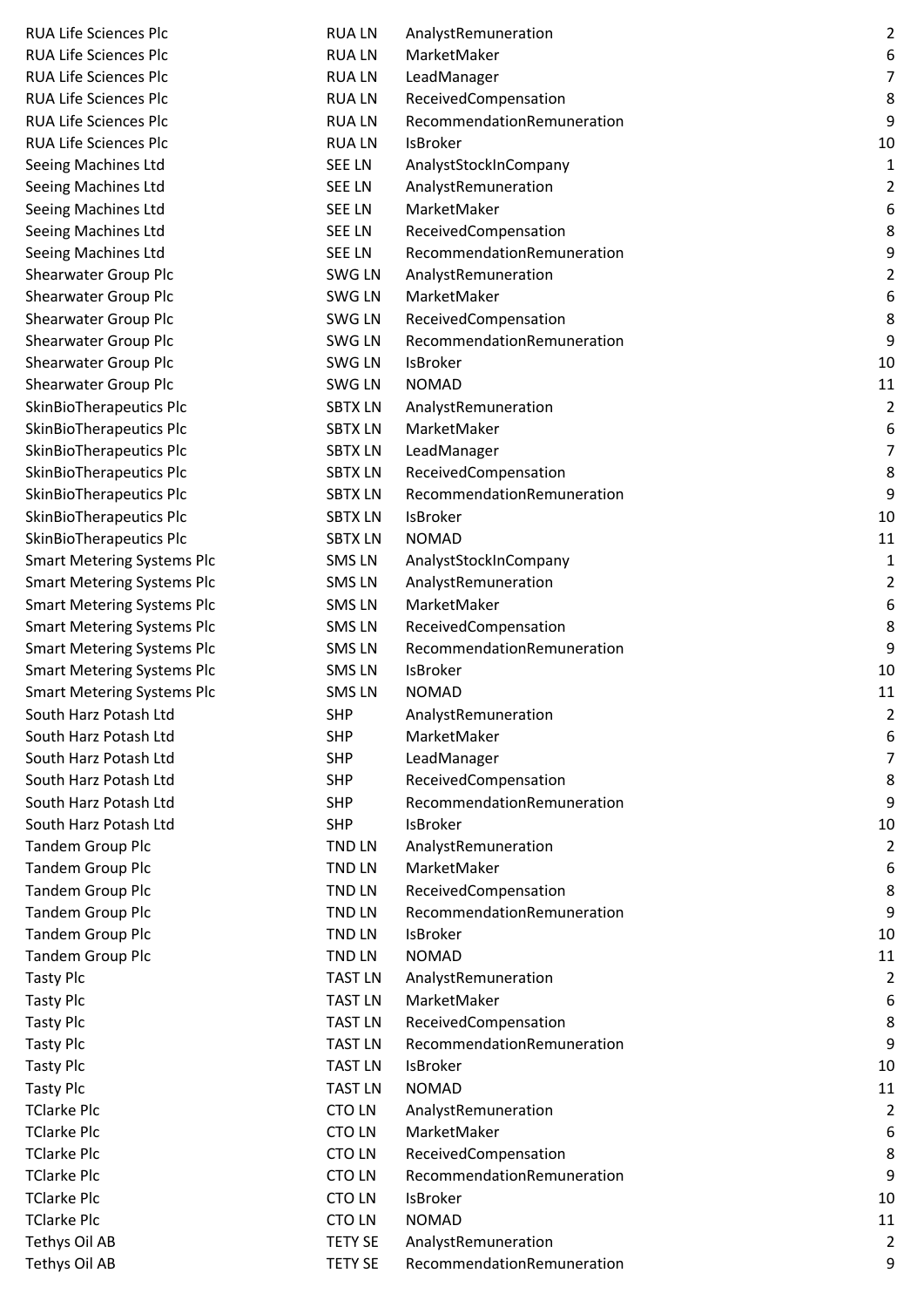| <b>RUA Life Sciences Plc</b>      | <b>RUALN</b>   | AnalystRemuneration        | $\overline{2}$   |
|-----------------------------------|----------------|----------------------------|------------------|
| <b>RUA Life Sciences Plc</b>      | <b>RUALN</b>   | MarketMaker                | 6                |
| <b>RUA Life Sciences Plc</b>      | <b>RUALN</b>   | LeadManager                | $\overline{7}$   |
| <b>RUA Life Sciences Plc</b>      | <b>RUALN</b>   | ReceivedCompensation       | 8                |
| <b>RUA Life Sciences Plc</b>      | <b>RUALN</b>   | RecommendationRemuneration | $\boldsymbol{9}$ |
| <b>RUA Life Sciences Plc</b>      | <b>RUALN</b>   | IsBroker                   | 10               |
| Seeing Machines Ltd               | <b>SEE LN</b>  | AnalystStockInCompany      | $\mathbf{1}$     |
| Seeing Machines Ltd               | <b>SEE LN</b>  | AnalystRemuneration        | $\overline{2}$   |
| Seeing Machines Ltd               | <b>SEE LN</b>  | MarketMaker                | 6                |
| Seeing Machines Ltd               | <b>SEE LN</b>  | ReceivedCompensation       | 8                |
| Seeing Machines Ltd               | <b>SEE LN</b>  | RecommendationRemuneration | 9                |
| Shearwater Group Plc              | SWG LN         | AnalystRemuneration        | $\overline{2}$   |
| <b>Shearwater Group Plc</b>       | SWG LN         | MarketMaker                | 6                |
| <b>Shearwater Group Plc</b>       | SWG LN         | ReceivedCompensation       | 8                |
| <b>Shearwater Group Plc</b>       | SWG LN         | RecommendationRemuneration | 9                |
| <b>Shearwater Group Plc</b>       | <b>SWG LN</b>  | IsBroker                   | 10               |
| Shearwater Group Plc              | SWG LN         | <b>NOMAD</b>               | 11               |
| SkinBioTherapeutics Plc           | <b>SBTX LN</b> | AnalystRemuneration        | $\overline{2}$   |
| SkinBioTherapeutics Plc           | <b>SBTX LN</b> | MarketMaker                | 6                |
| SkinBioTherapeutics Plc           | <b>SBTX LN</b> | LeadManager                | $\overline{7}$   |
| SkinBioTherapeutics Plc           | <b>SBTX LN</b> | ReceivedCompensation       | $\,8\,$          |
| SkinBioTherapeutics Plc           | <b>SBTX LN</b> | RecommendationRemuneration | 9                |
| SkinBioTherapeutics Plc           | <b>SBTX LN</b> | <b>IsBroker</b>            | 10               |
| SkinBioTherapeutics Plc           | <b>SBTX LN</b> | <b>NOMAD</b>               | 11               |
| <b>Smart Metering Systems Plc</b> | SMS LN         | AnalystStockInCompany      | $\mathbf{1}$     |
| <b>Smart Metering Systems Plc</b> | <b>SMSLN</b>   | AnalystRemuneration        | $\overline{2}$   |
| <b>Smart Metering Systems Plc</b> | <b>SMSLN</b>   | MarketMaker                | 6                |
| <b>Smart Metering Systems Plc</b> | <b>SMSLN</b>   | ReceivedCompensation       | 8                |
| <b>Smart Metering Systems Plc</b> | <b>SMSLN</b>   | RecommendationRemuneration | 9                |
| <b>Smart Metering Systems Plc</b> | <b>SMSLN</b>   | IsBroker                   | 10               |
| Smart Metering Systems Plc        | <b>SMSLN</b>   | <b>NOMAD</b>               | 11               |
| South Harz Potash Ltd             | <b>SHP</b>     | AnalystRemuneration        | $\overline{2}$   |
| South Harz Potash Ltd             | <b>SHP</b>     | MarketMaker                | 6                |
| South Harz Potash Ltd             | <b>SHP</b>     | LeadManager                | $\overline{7}$   |
| South Harz Potash Ltd             | <b>SHP</b>     | ReceivedCompensation       | 8                |
| South Harz Potash Ltd             | <b>SHP</b>     | RecommendationRemuneration | 9                |
| South Harz Potash Ltd             | <b>SHP</b>     | IsBroker                   | 10               |
| <b>Tandem Group Plc</b>           | TND LN         | AnalystRemuneration        | $\overline{2}$   |
| <b>Tandem Group Plc</b>           | <b>TND LN</b>  | MarketMaker                | 6                |
| <b>Tandem Group Plc</b>           | <b>TND LN</b>  | ReceivedCompensation       | 8                |
| <b>Tandem Group Plc</b>           | <b>TND LN</b>  | RecommendationRemuneration | 9                |
| <b>Tandem Group Plc</b>           | <b>TND LN</b>  | IsBroker                   | 10               |
| <b>Tandem Group Plc</b>           | <b>TND LN</b>  | <b>NOMAD</b>               | 11               |
| Tasty Plc                         | <b>TAST LN</b> | AnalystRemuneration        | $\overline{2}$   |
| Tasty Plc                         | <b>TAST LN</b> | MarketMaker                | 6                |
| Tasty Plc                         | <b>TAST LN</b> | ReceivedCompensation       | 8                |
| Tasty Plc                         | <b>TAST LN</b> | RecommendationRemuneration | 9                |
| Tasty Plc                         | <b>TAST LN</b> | IsBroker                   | 10               |
| Tasty Plc                         | <b>TAST LN</b> | <b>NOMAD</b>               | 11               |
| TClarke Plc                       | <b>CTOLN</b>   | AnalystRemuneration        | $\overline{2}$   |
| TClarke Plc                       | <b>CTOLN</b>   | MarketMaker                | 6                |
| TClarke Plc                       | <b>CTOLN</b>   | ReceivedCompensation       | 8                |
| TClarke Plc                       | <b>CTOLN</b>   | RecommendationRemuneration | 9                |
| TClarke Plc                       | <b>CTOLN</b>   | IsBroker                   | 10               |
| TClarke Plc                       | <b>CTOLN</b>   | <b>NOMAD</b>               | 11               |
| Tethys Oil AB                     | <b>TETY SE</b> | AnalystRemuneration        | $\overline{2}$   |
| Tethys Oil AB                     | <b>TETY SE</b> | RecommendationRemuneration | 9                |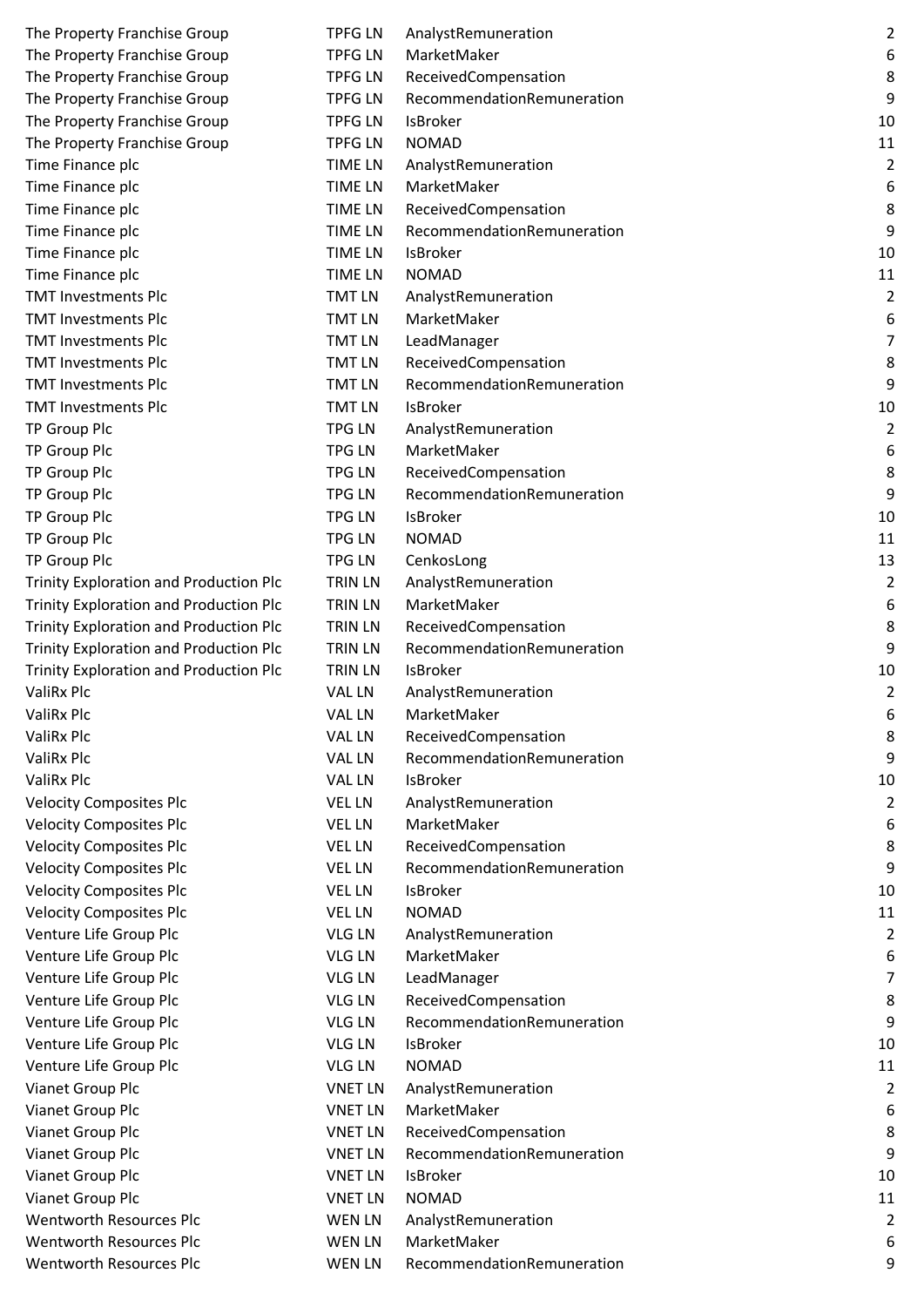| The Property Franchise Group                  | <b>TPFG LN</b> | AnalystRemuneration        | $\overline{2}$   |
|-----------------------------------------------|----------------|----------------------------|------------------|
| The Property Franchise Group                  | <b>TPFG LN</b> | MarketMaker                | 6                |
| The Property Franchise Group                  | <b>TPFG LN</b> | ReceivedCompensation       | 8                |
| The Property Franchise Group                  | <b>TPFG LN</b> | RecommendationRemuneration | 9                |
| The Property Franchise Group                  | <b>TPFG LN</b> | <b>IsBroker</b>            | 10               |
| The Property Franchise Group                  | <b>TPFG LN</b> | <b>NOMAD</b>               | 11               |
| Time Finance plc                              | <b>TIME LN</b> | AnalystRemuneration        | $\overline{2}$   |
| Time Finance plc                              | <b>TIME LN</b> | MarketMaker                | $\boldsymbol{6}$ |
| Time Finance plc                              | <b>TIME LN</b> | ReceivedCompensation       | $\,8\,$          |
| Time Finance plc                              | <b>TIME LN</b> | RecommendationRemuneration | $\boldsymbol{9}$ |
| Time Finance plc                              | <b>TIME LN</b> | <b>IsBroker</b>            | 10               |
| Time Finance plc                              | <b>TIME LN</b> | <b>NOMAD</b>               | 11               |
| <b>TMT Investments Plc</b>                    | <b>TMT LN</b>  | AnalystRemuneration        | $\overline{2}$   |
| <b>TMT Investments Plc</b>                    | <b>TMT LN</b>  | MarketMaker                | 6                |
| <b>TMT Investments Plc</b>                    | <b>TMT LN</b>  | LeadManager                | $\overline{7}$   |
| <b>TMT Investments Plc</b>                    | <b>TMT LN</b>  | ReceivedCompensation       | 8                |
| <b>TMT Investments Plc</b>                    | <b>TMT LN</b>  | RecommendationRemuneration | 9                |
| <b>TMT Investments Plc</b>                    | <b>TMT LN</b>  | <b>IsBroker</b>            | 10               |
| TP Group Plc                                  | <b>TPG LN</b>  | AnalystRemuneration        | $\overline{2}$   |
| TP Group Plc                                  | <b>TPG LN</b>  | MarketMaker                | 6                |
| TP Group Plc                                  | <b>TPG LN</b>  | ReceivedCompensation       | 8                |
| TP Group Plc                                  | <b>TPG LN</b>  | RecommendationRemuneration | 9                |
| TP Group Plc                                  | <b>TPG LN</b>  | <b>IsBroker</b>            | 10               |
| TP Group Plc                                  | <b>TPG LN</b>  | <b>NOMAD</b>               | 11               |
| TP Group Plc                                  | <b>TPG LN</b>  | CenkosLong                 | 13               |
| <b>Trinity Exploration and Production Plc</b> | <b>TRIN LN</b> | AnalystRemuneration        | $\overline{2}$   |
| <b>Trinity Exploration and Production Plc</b> | <b>TRIN LN</b> | MarketMaker                | 6                |
| <b>Trinity Exploration and Production Plc</b> | <b>TRIN LN</b> | ReceivedCompensation       | 8                |
| <b>Trinity Exploration and Production Plc</b> | <b>TRIN LN</b> | RecommendationRemuneration | 9                |
| <b>Trinity Exploration and Production Plc</b> | <b>TRIN LN</b> | <b>IsBroker</b>            | 10               |
| ValiRx Plc                                    | <b>VAL LN</b>  | AnalystRemuneration        | $\overline{2}$   |
| ValiRx Plc                                    | <b>VAL LN</b>  | MarketMaker                | 6                |
| ValiRx Plc                                    | VAL LN         | ReceivedCompensation       | 8                |
| ValiRx Plc                                    | <b>VAL LN</b>  | RecommendationRemuneration | 9                |
| ValiRx Plc                                    | <b>VAL LN</b>  | <b>IsBroker</b>            | 10               |
| <b>Velocity Composites Plc</b>                | <b>VEL LN</b>  | AnalystRemuneration        | $\overline{2}$   |
| <b>Velocity Composites Plc</b>                | <b>VEL LN</b>  | MarketMaker                | 6                |
| <b>Velocity Composites Plc</b>                | <b>VEL LN</b>  | ReceivedCompensation       | 8                |
| <b>Velocity Composites Plc</b>                | <b>VEL LN</b>  | RecommendationRemuneration | 9                |
| <b>Velocity Composites Plc</b>                | <b>VEL LN</b>  | IsBroker                   | 10               |
| <b>Velocity Composites Plc</b>                | <b>VEL LN</b>  | <b>NOMAD</b>               | 11               |
| Venture Life Group Plc                        | VLG LN         | AnalystRemuneration        | $\overline{2}$   |
| Venture Life Group Plc                        | <b>VLG LN</b>  | MarketMaker                | 6                |
| Venture Life Group Plc                        | <b>VLG LN</b>  | LeadManager                | $\overline{7}$   |
| Venture Life Group Plc                        | <b>VLG LN</b>  | ReceivedCompensation       | 8                |
| Venture Life Group Plc                        | <b>VLG LN</b>  | RecommendationRemuneration | 9                |
| Venture Life Group Plc                        | <b>VLG LN</b>  | <b>IsBroker</b>            | 10               |
| Venture Life Group Plc                        | <b>VLG LN</b>  | <b>NOMAD</b>               | 11               |
| Vianet Group Plc                              | <b>VNET LN</b> | AnalystRemuneration        | $\overline{2}$   |
| Vianet Group Plc                              | <b>VNET LN</b> | MarketMaker                | 6                |
| Vianet Group Plc                              | <b>VNET LN</b> | ReceivedCompensation       | 8                |
| Vianet Group Plc                              | <b>VNET LN</b> | RecommendationRemuneration | 9                |
| Vianet Group Plc                              | <b>VNET LN</b> | IsBroker                   | 10               |
| Vianet Group Plc                              | <b>VNET LN</b> | <b>NOMAD</b>               | 11               |
| <b>Wentworth Resources Plc</b>                | <b>WEN LN</b>  | AnalystRemuneration        | $\overline{2}$   |
| <b>Wentworth Resources Plc</b>                | <b>WEN LN</b>  | MarketMaker                | 6                |
| <b>Wentworth Resources Plc</b>                | WEN LN         | RecommendationRemuneration | 9                |